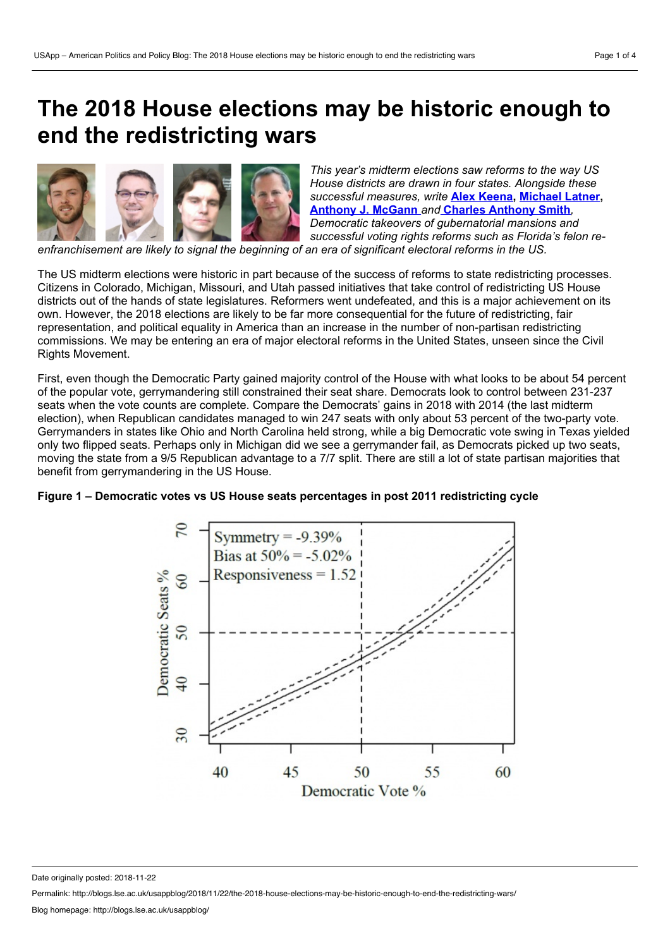# **The 2018 House elections may be historic enough to end the redistricting wars**



*This year's midterm elections saw reforms to the way US House districts are drawn in four states. Alongside these successful measures, write* **Alex [Keena,](https://wp.me/p3I2YF-8lc#Author) [Michael](https://wp.me/p3I2YF-8lc#Author) Latner, [Anthony](https://wp.me/p3I2YF-8lc#Author) J. McGann** *and* **Charles [Anthony](https://wp.me/p3I2YF-8lc#Author) Smith***, Democratic takeovers of gubernatorial mansions and successful voting rights reforms such as Florida's felon re-*

*enfranchisement are likely to signal the beginning of an era of significant electoral reforms in the US.*

The US midterm elections were historic in part because of the success of reforms to state redistricting processes. Citizens in Colorado, Michigan, Missouri, and Utah passed initiatives that take control of redistricting US House districts out of the hands of state legislatures. Reformers went undefeated, and this is a major achievement on its own. However, the 2018 elections are likely to be far more consequential for the future of redistricting, fair representation, and political equality in America than an increase in the number of non-partisan redistricting commissions. We may be entering an era of major electoral reforms in the United States, unseen since the Civil Rights Movement.

First, even though the Democratic Party gained majority control of the House with what looks to be about 54 percent of the popular vote, gerrymandering still constrained their seat share. Democrats look to control between 231-237 seats when the vote counts are complete. Compare the Democrats' gains in 2018 with 2014 (the last midterm election), when Republican candidates managed to win 247 seats with only about 53 percent of the two-party vote. Gerrymanders in states like Ohio and North Carolina held strong, while a big Democratic vote swing in Texas yielded only two flipped seats. Perhaps only in Michigan did we see a gerrymander fail, as Democrats picked up two seats, moving the state from a 9/5 Republican advantage to a 7/7 split. There are still a lot of state partisan majorities that benefit from gerrymandering in the US House.

# **Figure 1 – Democratic votes vs US House seats percentages in post 2011 redistricting cycle**



Date originally posted: 2018-11-22

Permalink: http://blogs.lse.ac.uk/usappblog/2018/11/22/the-2018-house-elections-may-be-historic-enough-to-end-the-redistricting-wars/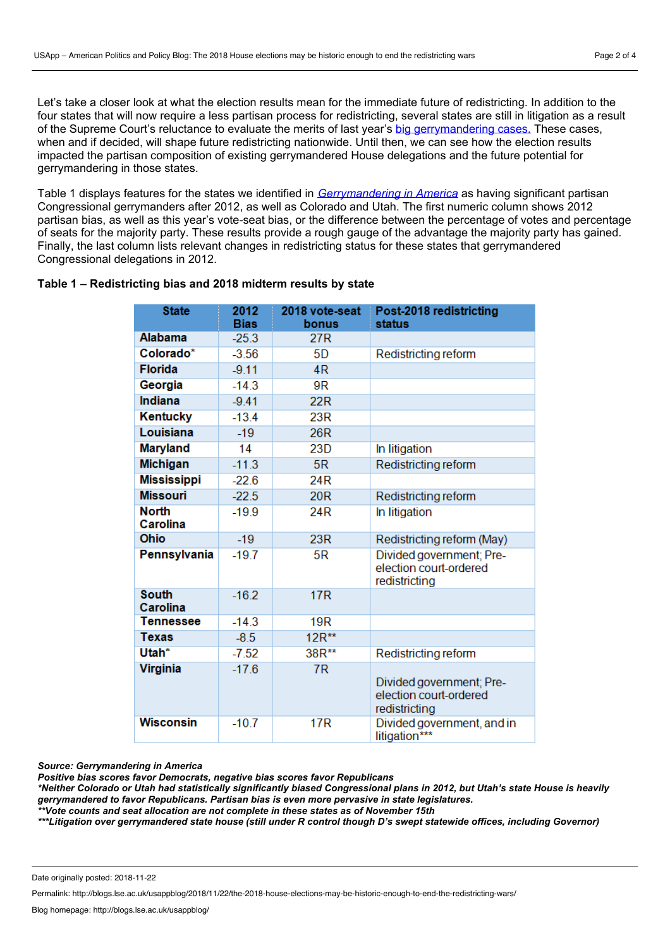Let's take a closer look at what the election results mean for the immediate future of redistricting. In addition to the four states that will now require a less partisan process for redistricting, several states are still in litigation as a result of the Supreme Court's reluctance to evaluate the merits of last year's big [gerrymandering](http://blogs.lse.ac.uk/usappblog/2018/06/27/in-its-latest-decision-the-supreme-court-has-got-it-wrong-when-it-says-that-partisan-gerrymandering-only-hurts-voters-in-specific-districts/) cases. These cases, when and if decided, will shape future redistricting nationwide. Until then, we can see how the election results impacted the partisan composition of existing gerrymandered House delegations and the future potential for gerrymandering in those states.

Table 1 displays features for the states we identified in *[Gerrymandering](https://www.cambridge.org/core/books/gerrymandering-in-america/C2A9A40879A353AC7484B49834CB54E4) in America* as having significant partisan Congressional gerrymanders after 2012, as well as Colorado and Utah. The first numeric column shows 2012 partisan bias, as well as this year's vote-seat bias, or the difference between the percentage of votes and percentage of seats for the majority party. These results provide a rough gauge of the advantage the majority party has gained. Finally, the last column lists relevant changes in redistricting status for these states that gerrymandered Congressional delegations in 2012.

## **Table 1 – Redistricting bias and 2018 midterm results by state**

| <b>State</b>             | 2012<br><b>Bias</b> | 2018 vote-seat<br>bonus | Post-2018 redistricting<br>status                                   |
|--------------------------|---------------------|-------------------------|---------------------------------------------------------------------|
| Alabama                  | $-25.3$             | 27 <sub>R</sub>         |                                                                     |
| Colorado*                | $-3.56$             | 5D                      | Redistricting reform                                                |
| <b>Florida</b>           | $-9.11$             | 4 <sub>R</sub>          |                                                                     |
| Georgia                  | $-14.3$             | 9R                      |                                                                     |
| <b>Indiana</b>           | $-9.41$             | 22R                     |                                                                     |
| Kentucky                 | $-13.4$             | 23R                     |                                                                     |
| Louisiana                | $-19$               | 26 <sub>R</sub>         |                                                                     |
| <b>Maryland</b>          | 14                  | 23D                     | In litigation                                                       |
| <b>Michigan</b>          | $-11.3$             | 5R                      | Redistricting reform                                                |
| <b>Mississippi</b>       | $-22.6$             | 24 <sub>R</sub>         |                                                                     |
| <b>Missouri</b>          | $-22.5$             | <b>20R</b>              | Redistricting reform                                                |
| <b>North</b><br>Carolina | $-19.9$             | 24 <sub>R</sub>         | In litigation                                                       |
| <b>Ohio</b>              | $-19$               | 23R                     | Redistricting reform (May)                                          |
| Pennsylvania             | $-19.7$             | 5R                      | Divided government; Pre-<br>election court-ordered<br>redistricting |
| <b>South</b><br>Carolina | $-16.2$             | 17R                     |                                                                     |
| <b>Tennessee</b>         | $-14.3$             | 19 <sub>R</sub>         |                                                                     |
| <b>Texas</b>             | $-8.5$              | 12R**                   |                                                                     |
| Utah*                    | $-7.52$             | 38R**                   | Redistricting reform                                                |
| <b>Virginia</b>          | $-17.6$             | 7R                      | Divided government; Pre-<br>election court-ordered<br>redistricting |
| <b>Wisconsin</b>         | $-10.7$             | <b>17R</b>              | Divided government, and in<br>litigation***                         |

#### *Source: Gerrymandering in America*

*Positive bias scores favor Democrats, negative bias scores favor Republicans*

\*Neither Colorado or Utah had statistically significantly biased Congressional plans in 2012, but Utah's state House is heavily *gerrymandered to favor Republicans. Partisan bias is even more pervasive in state legislatures.*

*\*\*Vote counts and seat allocation are not complete in these states as of November 15th*

\*\*\*Litigation over gerrymandered state house (still under R control though D's swept statewide offices, including Governor)

Permalink: http://blogs.lse.ac.uk/usappblog/2018/11/22/the-2018-house-elections-may-be-historic-enough-to-end-the-redistricting-wars/

Date originally posted: 2018-11-22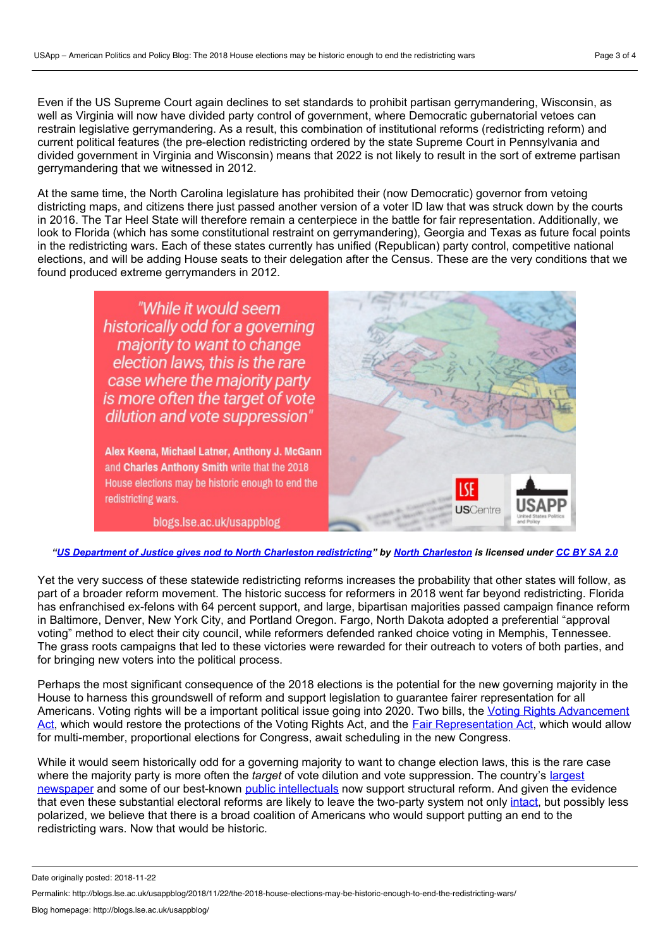Even if the US Supreme Court again declines to set standards to prohibit partisan gerrymandering, Wisconsin, as well as Virginia will now have divided party control of government, where Democratic gubernatorial vetoes can restrain legislative gerrymandering. As a result, this combination of institutional reforms (redistricting reform) and current political features (the pre-election redistricting ordered by the state Supreme Court in Pennsylvania and divided government in Virginia and Wisconsin) means that 2022 is not likely to result in the sort of extreme partisan gerrymandering that we witnessed in 2012.

At the same time, the North Carolina legislature has prohibited their (now Democratic) governor from vetoing districting maps, and citizens there just passed another version of a voter ID law that was struck down by the courts in 2016. The Tar Heel State will therefore remain a centerpiece in the battle for fair representation. Additionally, we look to Florida (which has some constitutional restraint on gerrymandering), Georgia and Texas as future focal points in the redistricting wars. Each of these states currently has unified (Republican) party control, competitive national elections, and will be adding House seats to their delegation after the Census. These are the very conditions that we found produced extreme gerrymanders in 2012.

> "While it would seem historically odd for a governing majority to want to change election laws, this is the rare case where the majority party is more often the target of vote dilution and vote suppression"

Alex Keena, Michael Latner, Anthony J. McGann and Charles Anthony Smith write that the 2018 House elections may be historic enough to end the redistricting wars.

blogs.lse.ac.uk/usappblog



"US Department of Justice gives nod to North Charleston [redistricting"](https://www.flickr.com/photos/northcharleston/6130438444) by North [Charleston](https://www.flickr.com/photos/northcharleston/) is licensed under [CC](https://creativecommons.org/licenses/by-sa/2.0/) BY SA 2.0

Yet the very success of these statewide redistricting reforms increases the probability that other states will follow, as part of a broader reform movement. The historic success for reformers in 2018 went far beyond redistricting. Florida has enfranchised ex-felons with 64 percent support, and large, bipartisan majorities passed campaign finance reform in Baltimore, Denver, New York City, and Portland Oregon. Fargo, North Dakota adopted a preferential "approval voting" method to elect their city council, while reformers defended ranked choice voting in Memphis, Tennessee. The grass roots campaigns that led to these victories were rewarded for their outreach to voters of both parties, and for bringing new voters into the political process.

Perhaps the most significant consequence of the 2018 elections is the potential for the new governing majority in the House to harness this groundswell of reform and support legislation to guarantee fairer representation for all Americans. Voting rights will be a important political issue going into 2020. Two bills, the Voting Rights Advancement Act, which would restore the protections of the Voting Rights Act, and the Fair [Representation](https://action.aclu.org/petition/congress-repair-voting-act) Act, which would allow for multi-member, proportional elections for Congress, await scheduling in the new Congress.

While it would seem historically odd for a governing majority to want to change election laws, this is the rare case where the majority party is more often the *target* of vote dilution and vote [suppression.](https://www.nytimes.com/interactive/2018/11/10/opinion/house-representatives-size-multi-member.html?mtrref=www.google.com&gwh=6B96C1A351688C7E85C935D920880A2A&gwt=pay&assetType=opinion) The country's largest newspaper and some of our best-known public [intellectuals](https://www.fairvote.org/the_fair_representation_act_could_make_congress_allpartisan) now support structural reform. And given the evidence that even these substantial electoral reforms are likely to leave the two-party system not only [intact,](http://blogs.lse.ac.uk/usappblog/2018/11/05/why-adopting-proportional-voting-may-bring-back-the-big-tent-political-party/) but possibly less polarized, we believe that there is a broad coalition of Americans who would support putting an end to the redistricting wars. Now that would be historic.

Date originally posted: 2018-11-22

Permalink: http://blogs.lse.ac.uk/usappblog/2018/11/22/the-2018-house-elections-may-be-historic-enough-to-end-the-redistricting-wars/